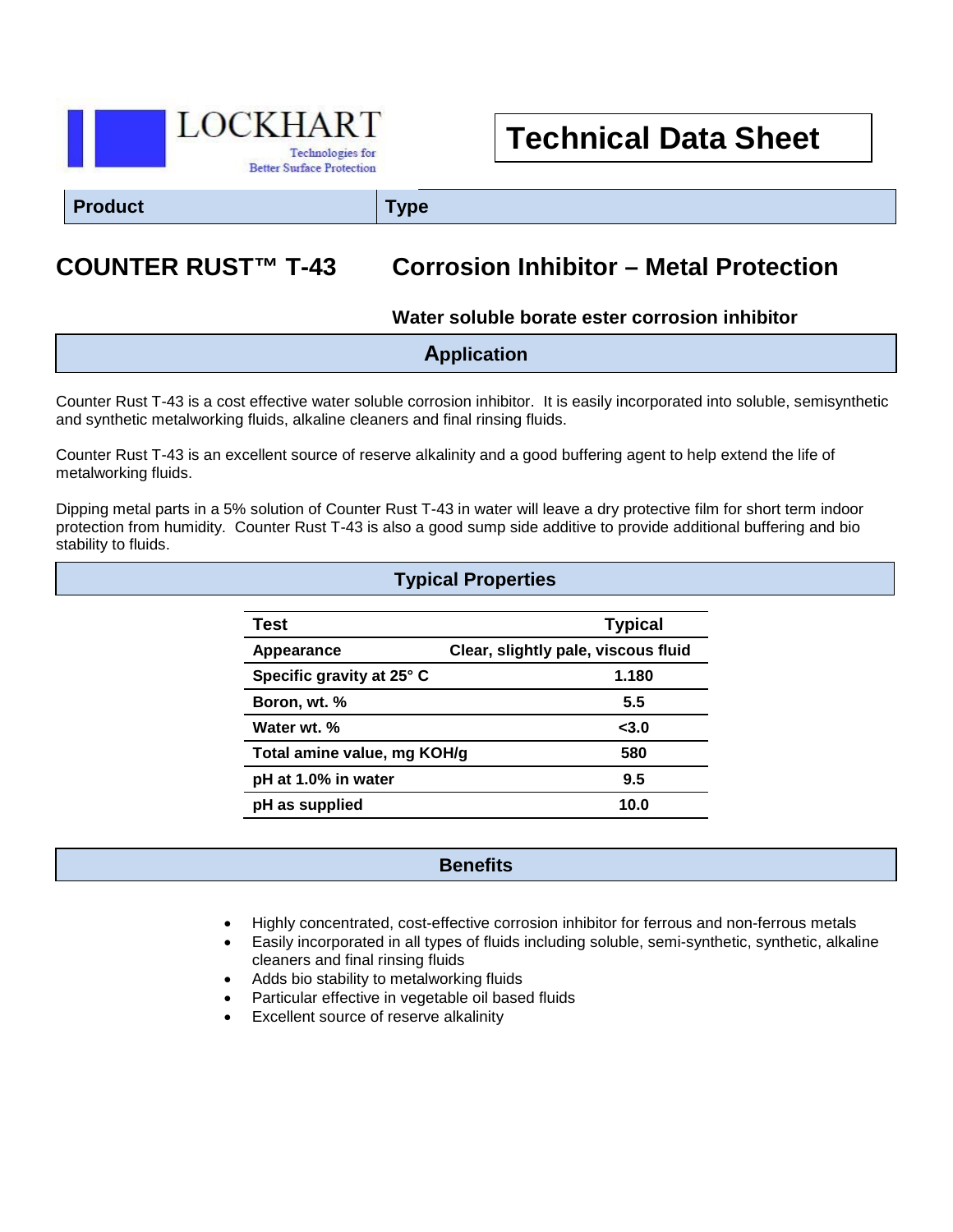

# **Technical Data Sheet**

**Product Type**

## **COUNTER RUST™ T-43 Corrosion Inhibitor – Metal Protection**

**Water soluble borate ester corrosion inhibitor**

| <b>Application</b> |
|--------------------|
|                    |

Counter Rust T-43 is a cost effective water soluble corrosion inhibitor. It is easily incorporated into soluble, semisynthetic and synthetic metalworking fluids, alkaline cleaners and final rinsing fluids.

Counter Rust T-43 is an excellent source of reserve alkalinity and a good buffering agent to help extend the life of metalworking fluids.

Dipping metal parts in a 5% solution of Counter Rust T-43 in water will leave a dry protective film for short term indoor protection from humidity. Counter Rust T-43 is also a good sump side additive to provide additional buffering and bio stability to fluids.

**Typical Properties**

| Test                        | <b>Typical</b>                      |
|-----------------------------|-------------------------------------|
| Appearance                  | Clear, slightly pale, viscous fluid |
| Specific gravity at 25° C   | 1.180                               |
| Boron, wt. %                | 5.5                                 |
| Water wt. %                 | $3.0$                               |
| Total amine value, mg KOH/g | 580                                 |
| pH at 1.0% in water         | 9.5                                 |
| pH as supplied              | 10.0                                |

## **Benefits**

- Highly concentrated, cost-effective corrosion inhibitor for ferrous and non-ferrous metals
- Easily incorporated in all types of fluids including soluble, semi-synthetic, synthetic, alkaline cleaners and final rinsing fluids
- Adds bio stability to metalworking fluids
- Particular effective in vegetable oil based fluids
- Excellent source of reserve alkalinity